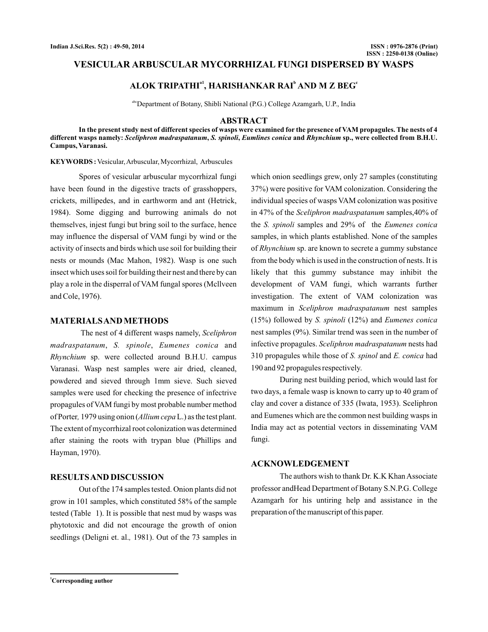## **VESICULAR ARBUSCULAR MYCORRHIZAL FUNGI DISPERSED BY WASPS**

# **ALOK TRIPATHI , HARISHANKAR RAI AND M Z BEG a1 b c**

abcDepartment of Botany, Shibli National (P.G.) College Azamgarh, U.P., India

### **ABSTRACT**

**In the present study nest of different species of wasps were examined for the presence of VAM propagules. The nests of 4** different wasps namely: *Sceliphron madraspatanum, S. spinoli, Eumlines conica* and *Rhynchium* sp., were collected from B.H.U. **Campus, Varanasi.**

**KEYWORDS :** Vesicular,Arbuscular, Mycorrhizal, Arbuscules

Spores of vesicular arbuscular mycorrhizal fungi have been found in the digestive tracts of grasshoppers, crickets, millipedes, and in earthworm and ant (Hetrick, 1984). Some digging and burrowing animals do not themselves, injest fungi but bring soil to the surface, hence may influence the dispersal of VAM fungi by wind or the activity of insects and birds which use soil for building their nests or mounds (Mac Mahon, 1982). Wasp is one such insect which uses soil for building their nest and there by can play a role in the disperral of VAM fungal spores (Mcllveen and Cole, 1976).

### **MATERIALSAND METHODS**

The nest of 4 different wasps namely, *Sceliphron* madraspatanum, S. spinole, Eumenes conica and Rhynchium sp. were collected around B.H.U. campus Varanasi. Wasp nest samples were air dried, cleaned, powdered and sieved through 1mm sieve. Such sieved samples were used for checking the presence of infectrive propagules of VAM fungi by most probable number method of Porter, 1979 using onion (*Allium cepa* L.) as the test plant. The extent of mycorrhizal root colonization was determined after staining the roots with trypan blue (Phillips and Hayman, 1970).

### **RESULTSAND DISCUSSION**

Out of the 174 samples tested. Onion plants did not grow in 101 samples, which constituted 58% of the sample tested (Table 1). It is possible that nest mud by wasps was phytotoxic and did not encourage the growth of onion seedlings (Deligni et. al., 1981). Out of the 73 samples in

which onion seedlings grew, only 27 samples (constituting 37%) were positive for VAM colonization. Considering the individual species of wasps VAM colonization was positive in 47% of the *Sceliphron madraspatanum* samples,40% of the *S. spinoli* samples and 29% of the *Eumenes conica* samples, in which plants established. None of the samples of Rhynchium sp. are known to secrete a gummy substance from the body which is used in the construction of nests. It is likely that this gummy substance may inhibit the development of VAM fungi, which warrants further investigation. The extent of VAM colonization was maximum in Sceliphron madraspatanum nest samples (15%) followed by *S. spinoli* (12%) and *Eumenes conica* nest samples (9%). Similar trend was seen in the number of infective propagules. Sceliphron madraspatanum nests had 310 propagules while those of S. spinol and E. conica had 190 and 92 propagules respectively.

During nest building period, which would last for two days, a female wasp is known to carry up to 40 gram of clay and cover a distance of 335 (Iwata, 1953). Sceliphron and Eumenes which are the common nest building wasps in India may act as potential vectors in disseminating VAM fungi.

#### **ACKNOWLEDGEMENT**

The authors wish to thank Dr. K.K Khan Associate professor andHead Department of Botany S.N.P.G. College Azamgarh for his untiring help and assistance in the preparation of the manuscript of this paper.